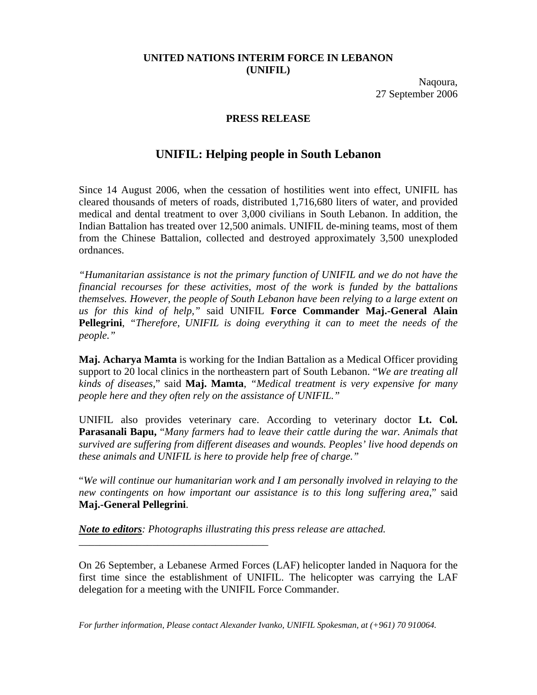## **UNITED NATIONS INTERIM FORCE IN LEBANON (UNIFIL)**

Naqoura, 27 September 2006

## **PRESS RELEASE**

## **UNIFIL: Helping people in South Lebanon**

Since 14 August 2006, when the cessation of hostilities went into effect, UNIFIL has cleared thousands of meters of roads, distributed 1,716,680 liters of water, and provided medical and dental treatment to over 3,000 civilians in South Lebanon. In addition, the Indian Battalion has treated over 12,500 animals. UNIFIL de-mining teams, most of them from the Chinese Battalion, collected and destroyed approximately 3,500 unexploded ordnances.

*"Humanitarian assistance is not the primary function of UNIFIL and we do not have the financial recourses for these activities, most of the work is funded by the battalions themselves. However, the people of South Lebanon have been relying to a large extent on us for this kind of help,"* said UNIFIL **Force Commander Maj.-General Alain Pellegrini**, *"Therefore, UNIFIL is doing everything it can to meet the needs of the people."* 

**Maj. Acharya Mamta** is working for the Indian Battalion as a Medical Officer providing support to 20 local clinics in the northeastern part of South Lebanon. "*We are treating all kinds of diseases,*" said **Maj. Mamta**, *"Medical treatment is very expensive for many people here and they often rely on the assistance of UNIFIL."*

UNIFIL also provides veterinary care. According to veterinary doctor **Lt. Col. Parasanali Bapu,** "*Many farmers had to leave their cattle during the war. Animals that survived are suffering from different diseases and wounds. Peoples' live hood depends on these animals and UNIFIL is here to provide help free of charge."*

"*We will continue our humanitarian work and I am personally involved in relaying to the new contingents on how important our assistance is to this long suffering area*," said **Maj.-General Pellegrini**.

*Note to editors: Photographs illustrating this press release are attached.* 

\_\_\_\_\_\_\_\_\_\_\_\_\_\_\_\_\_\_\_\_\_\_\_\_\_\_\_\_\_\_\_\_\_\_\_\_

On 26 September, a Lebanese Armed Forces (LAF) helicopter landed in Naquora for the first time since the establishment of UNIFIL. The helicopter was carrying the LAF delegation for a meeting with the UNIFIL Force Commander.

*For further information, Please contact Alexander Ivanko, UNIFIL Spokesman, at (+961) 70 910064.*